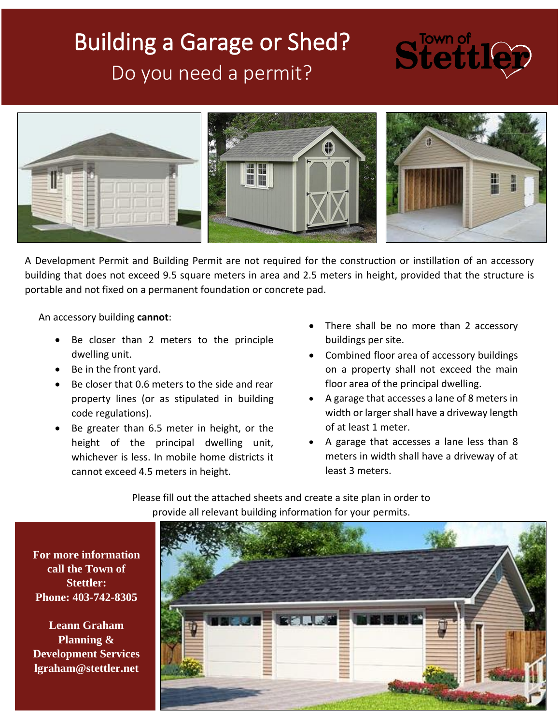# Building a Garage or Shed? Do you need a permit?

# Stettl



A Development Permit and Building Permit are not required for the construction or instillation of an accessory building that does not exceed 9.5 square meters in area and 2.5 meters in height, provided that the structure is portable and not fixed on a permanent foundation or concrete pad.

An accessory building **cannot**:

- Be closer than 2 meters to the principle dwelling unit.
- Be in the front yard.
- Be closer that 0.6 meters to the side and rear property lines (or as stipulated in building code regulations).
- Be greater than 6.5 meter in height, or the height of the principal dwelling unit, whichever is less. In mobile home districts it cannot exceed 4.5 meters in height.
- There shall be no more than 2 accessory buildings per site.
- Combined floor area of accessory buildings on a property shall not exceed the main floor area of the principal dwelling.
- A garage that accesses a lane of 8 meters in width or larger shall have a driveway length of at least 1 meter.
- A garage that accesses a lane less than 8 meters in width shall have a driveway of at least 3 meters.

Please fill out the attached sheets and create a site plan in order to provide all relevant building information for your permits.



**For more information call the Town of Stettler: Phone: 403-742-8305**

**Leann Graham Planning & Development Services lgraham@stettler.net**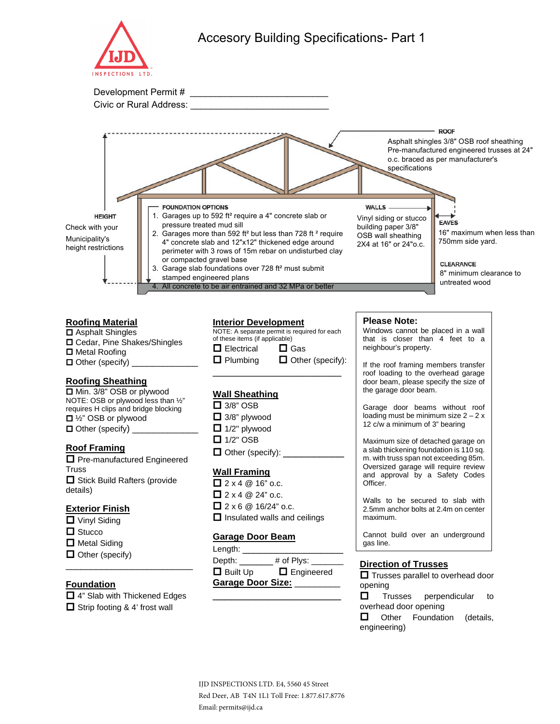



# **Roofing Material**

■ Asphalt Shingles Cedar, Pine Shakes/Shingles ■ Metal Roofing  $\Box$  Other (specify)  $\Box$ 

# **Roofing Sheathing**

| □ Min. 3/8" OSB or plywood              |
|-----------------------------------------|
| NOTE: OSB or plywood less than 1/2"     |
| requires H clips and bridge blocking    |
| $\Box$ 1/ <sub>2</sub> " OSB or plywood |
| $\Box$ Other (specify)                  |

#### **Roof Framing**

**D** Pre-manufactured Engineered **Truss**  $\Box$  Stick Build Rafters (provide details)

#### **Exterior Finish**

- **D** Vinyl Siding
- $\Box$  Stucco
- $\Box$  Metal Siding
- $\Box$  Other (specify)

# **Foundation**

■ 4" Slab with Thickened Edges  $\Box$  Strip footing & 4' frost wall

\_\_\_\_\_\_\_\_\_\_\_\_\_\_\_\_\_\_\_\_\_\_\_\_\_

#### **Interior Development**



### **Wall Sheathing**

 $\Box$  3/8" OSB  $\Box$  3/8" plywood  $\Box$  1/2" plywood  $\Box$  1/2" OSB  $\Box$  Other (specify):

#### **Wall Framing**

 $2 \times 4 \& 16"$  o.c.  $\Box$  2 x 4  $\omega$  24" o.c.  $2 \times 6$  @ 16/24" o.c.  $\Box$  Insulated walls and ceilings

#### **Garage Door Beam**

| Length:           |                   |  |
|-------------------|-------------------|--|
| Depth:            | # of Plys: $\_$   |  |
| $\Box$ Built Up   | $\Box$ Engineered |  |
| Garage Door Size: |                   |  |
|                   |                   |  |

#### **Please Note:**

Windows cannot be placed in a wall that is closer than 4 feet to a neighbour's property.

If the roof framing members transfer roof loading to the overhead garage door beam, please specify the size of the garage door beam.

Garage door beams without roof loading must be minimum size  $2 - 2x$ 12 c/w a minimum of 3" bearing

Maximum size of detached garage on a slab thickening foundation is 110 sq. m. with truss span not exceeding 85m. Oversized garage will require review and approval by a Safety Codes Officer.

Walls to be secured to slab with 2.5mm anchor bolts at 2.4m on center maximum.

Cannot build over an underground gas line.

#### **Direction of Trusses**

 $\Box$  Trusses parallel to overhead door opening

 $\Box$  Trusses perpendicular to overhead door opening

**Other Foundation (details,** engineering)